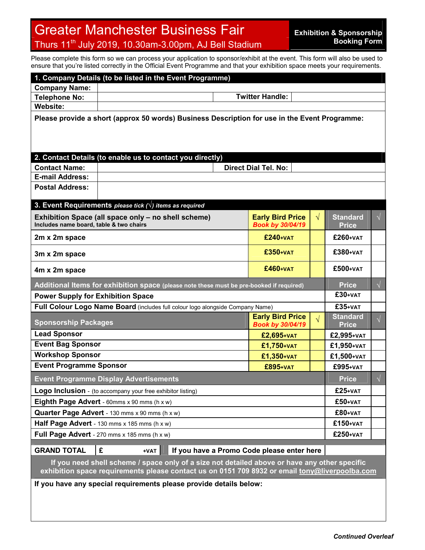## Greater Manchester Business Fair Thurs 11<sup>th</sup> July 2019, 10.30am-3.00pm, AJ Bell Stadium

Please complete this form so we can process your application to sponsor/exhibit at the event. This form will also be used to ensure that you're listed correctly in the Official Event Programme and that your exhibition space meets your requirements.

| 1. Company Details (to be listed in the Event Programme)                                                                                                                                                                                      |                        |                                                    |           |                                 |            |  |  |  |  |  |
|-----------------------------------------------------------------------------------------------------------------------------------------------------------------------------------------------------------------------------------------------|------------------------|----------------------------------------------------|-----------|---------------------------------|------------|--|--|--|--|--|
| <b>Company Name:</b>                                                                                                                                                                                                                          |                        |                                                    |           |                                 |            |  |  |  |  |  |
| <b>Telephone No:</b>                                                                                                                                                                                                                          | <b>Twitter Handle:</b> |                                                    |           |                                 |            |  |  |  |  |  |
| <b>Website:</b>                                                                                                                                                                                                                               |                        |                                                    |           |                                 |            |  |  |  |  |  |
| Please provide a short (approx 50 words) Business Description for use in the Event Programme:                                                                                                                                                 |                        |                                                    |           |                                 |            |  |  |  |  |  |
| 2. Contact Details (to enable us to contact you directly)                                                                                                                                                                                     |                        |                                                    |           |                                 |            |  |  |  |  |  |
| <b>Contact Name:</b>                                                                                                                                                                                                                          |                        | <b>Direct Dial Tel. No:</b>                        |           |                                 |            |  |  |  |  |  |
| <b>E-mail Address:</b>                                                                                                                                                                                                                        |                        |                                                    |           |                                 |            |  |  |  |  |  |
| <b>Postal Address:</b>                                                                                                                                                                                                                        |                        |                                                    |           |                                 |            |  |  |  |  |  |
| 3. Event Requirements please tick $(\vee)$ items as required                                                                                                                                                                                  |                        |                                                    |           |                                 |            |  |  |  |  |  |
| Exhibition Space (all space only - no shell scheme)<br>Includes name board, table & two chairs                                                                                                                                                |                        | <b>Early Bird Price</b><br><b>Book by 30/04/19</b> | $\sqrt{}$ | <b>Standard</b><br><b>Price</b> | $\sqrt{ }$ |  |  |  |  |  |
| 2m x 2m space                                                                                                                                                                                                                                 |                        | <b>£240+VAT</b>                                    |           | £260+VAT                        |            |  |  |  |  |  |
| 3m x 2m space                                                                                                                                                                                                                                 |                        | £350+VAT                                           |           | £380+VAT                        |            |  |  |  |  |  |
| 4m x 2m space                                                                                                                                                                                                                                 |                        | £460+VAT                                           |           | £500+VAT                        |            |  |  |  |  |  |
| Additional Items for exhibition space (please note these must be pre-booked if required)                                                                                                                                                      |                        |                                                    |           | <b>Price</b>                    | $\sqrt{}$  |  |  |  |  |  |
| <b>Power Supply for Exhibition Space</b>                                                                                                                                                                                                      |                        |                                                    |           | $£30+VAT$                       |            |  |  |  |  |  |
| Full Colour Logo Name Board (includes full colour logo alongside Company Name)                                                                                                                                                                |                        |                                                    |           | £35+VAT                         |            |  |  |  |  |  |
| <b>Sponsorship Packages</b>                                                                                                                                                                                                                   |                        | <b>Early Bird Price</b><br><b>Book by 30/04/19</b> | $\sqrt{}$ | <b>Standard</b><br><b>Price</b> | $\sqrt{}$  |  |  |  |  |  |
| <b>Lead Sponsor</b>                                                                                                                                                                                                                           |                        | £2,695+VAT                                         |           | £2,995+VAT                      |            |  |  |  |  |  |
| <b>Event Bag Sponsor</b>                                                                                                                                                                                                                      |                        | £1,750+VAT                                         |           | £1,950+VAT                      |            |  |  |  |  |  |
| <b>Workshop Sponsor</b>                                                                                                                                                                                                                       |                        | £1,350+VAT                                         |           | £1,500+VAT                      |            |  |  |  |  |  |
| <b>Event Programme Sponsor</b>                                                                                                                                                                                                                |                        | <b>£895+VAT</b>                                    |           | £995+VAT                        |            |  |  |  |  |  |
| <b>Event Programme Display Advertisements</b>                                                                                                                                                                                                 |                        |                                                    |           | <b>Price</b>                    |            |  |  |  |  |  |
| Logo Inclusion - (to accompany your free exhibitor listing)                                                                                                                                                                                   |                        |                                                    |           | £25+VAT                         |            |  |  |  |  |  |
| Eighth Page Advert - 60mms x 90 mms (h x w)                                                                                                                                                                                                   |                        |                                                    |           | £50+VAT                         |            |  |  |  |  |  |
| Quarter Page Advert - 130 mms x 90 mms (h x w)                                                                                                                                                                                                |                        |                                                    |           | £80+VAT                         |            |  |  |  |  |  |
| Half Page Advert - 130 mms x 185 mms (h x w)                                                                                                                                                                                                  |                        |                                                    |           | £150+VAT                        |            |  |  |  |  |  |
| Full Page Advert - 270 mms x 185 mms (h x w)                                                                                                                                                                                                  |                        |                                                    |           | £250+VAT                        |            |  |  |  |  |  |
| <b>GRAND TOTAL</b><br>£<br>+VAT                                                                                                                                                                                                               |                        |                                                    |           |                                 |            |  |  |  |  |  |
| If you have a Promo Code please enter here<br>If you need shell scheme / space only of a size not detailed above or have any other specific<br>exhibition space requirements please contact us on 0151 709 8932 or email tony@liverpoolba.com |                        |                                                    |           |                                 |            |  |  |  |  |  |
| If you have any special requirements please provide details below:                                                                                                                                                                            |                        |                                                    |           |                                 |            |  |  |  |  |  |